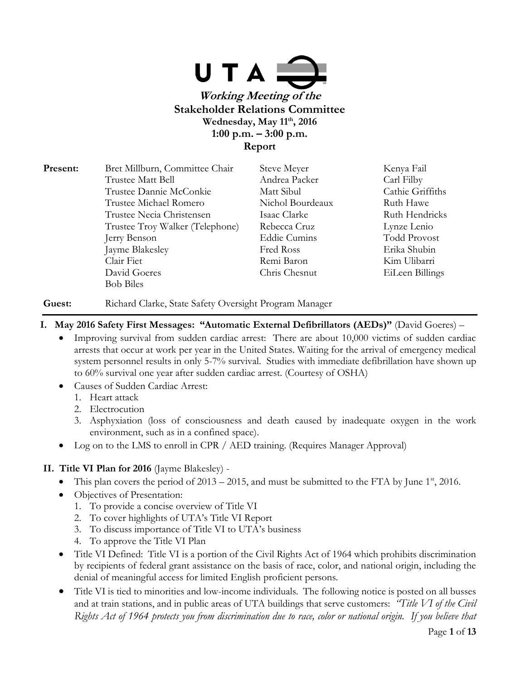

| Bret Millburn, Committee Chair  | Steve Meyer         | Kenya Fail          |
|---------------------------------|---------------------|---------------------|
| Trustee Matt Bell               | Andrea Packer       | Carl Filby          |
| Trustee Dannie McConkie         | Matt Sibul          | Cathie Griffiths    |
| Trustee Michael Romero          | Nichol Bourdeaux    | Ruth Hawe           |
| Trustee Necia Christensen       | Isaac Clarke        | Ruth Hendricks      |
| Trustee Troy Walker (Telephone) | Rebecca Cruz        | Lynze Lenio         |
| Jerry Benson                    | <b>Eddie Cumins</b> | <b>Todd Provost</b> |
| Jayme Blakesley                 | Fred Ross           | Erika Shubin        |
| Clair Fiet                      | Remi Baron          | Kim Ulibarri        |
| David Goeres                    | Chris Chesnut       | EiLeen Billings     |
| <b>Bob Biles</b>                |                     |                     |
|                                 |                     |                     |

Guest: Richard Clarke, State Safety Oversight Program Manager

- **I. May 2016 Safety First Messages: "Automatic External Defibrillators (AEDs)"** (David Goeres)
	- Improving survival from sudden cardiac arrest: There are about 10,000 victims of sudden cardiac arrests that occur at work per year in the United States. Waiting for the arrival of emergency medical system personnel results in only 5-7% survival. Studies with immediate defibrillation have shown up to 60% survival one year after sudden cardiac arrest. (Courtesy of OSHA)
	- Causes of Sudden Cardiac Arrest:
		- 1. Heart attack
		- 2. Electrocution
		- 3. Asphyxiation (loss of consciousness and death caused by inadequate oxygen in the work environment, such as in a confined space).
	- Log on to the LMS to enroll in CPR / AED training. (Requires Manager Approval)

# **II. Title VI Plan for 2016** (Jayme Blakesley) -

- This plan covers the period of  $2013 2015$ , and must be submitted to the FTA by June 1<sup>st</sup>, 2016.
- Objectives of Presentation:
	- 1. To provide a concise overview of Title VI
	- 2. To cover highlights of UTA's Title VI Report
	- 3. To discuss importance of Title VI to UTA's business
	- 4. To approve the Title VI Plan
- Title VI Defined: Title VI is a portion of the Civil Rights Act of 1964 which prohibits discrimination by recipients of federal grant assistance on the basis of race, color, and national origin, including the denial of meaningful access for limited English proficient persons.
- Title VI is tied to minorities and low-income individuals. The following notice is posted on all busses and at train stations, and in public areas of UTA buildings that serve customers: *"Title VI of the Civil Rights Act of 1964 protects you from discrimination due to race, color or national origin. If you believe that*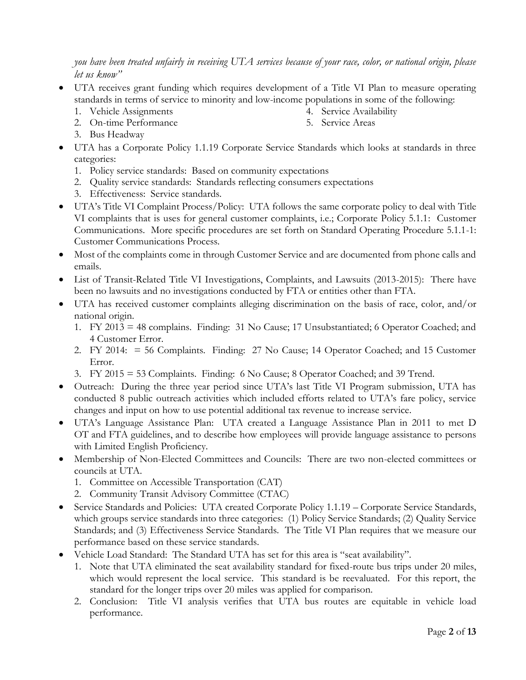*you have been treated unfairly in receiving UTA services because of your race, color, or national origin, please let us know"*

- UTA receives grant funding which requires development of a Title VI Plan to measure operating standards in terms of service to minority and low-income populations in some of the following:
	- 1. Vehicle Assignments
	- 2. On-time Performance

4. Service Availability 5. Service Areas

- 3. Bus Headway
- UTA has a Corporate Policy 1.1.19 Corporate Service Standards which looks at standards in three categories:
	- 1. Policy service standards: Based on community expectations
	- 2. Quality service standards: Standards reflecting consumers expectations
	- 3. Effectiveness: Service standards.
- UTA's Title VI Complaint Process/Policy: UTA follows the same corporate policy to deal with Title VI complaints that is uses for general customer complaints, i.e.; Corporate Policy 5.1.1: Customer Communications. More specific procedures are set forth on Standard Operating Procedure 5.1.1-1: Customer Communications Process.
- Most of the complaints come in through Customer Service and are documented from phone calls and emails.
- List of Transit-Related Title VI Investigations, Complaints, and Lawsuits (2013-2015): There have been no lawsuits and no investigations conducted by FTA or entities other than FTA.
- UTA has received customer complaints alleging discrimination on the basis of race, color, and/or national origin.
	- 1. FY 2013 = 48 complains. Finding: 31 No Cause; 17 Unsubstantiated; 6 Operator Coached; and 4 Customer Error.
	- 2. FY 2014: = 56 Complaints. Finding: 27 No Cause; 14 Operator Coached; and 15 Customer Error.
	- 3. FY 2015 = 53 Complaints. Finding: 6 No Cause; 8 Operator Coached; and 39 Trend.
- Outreach: During the three year period since UTA's last Title VI Program submission, UTA has conducted 8 public outreach activities which included efforts related to UTA's fare policy, service changes and input on how to use potential additional tax revenue to increase service.
- UTA's Language Assistance Plan: UTA created a Language Assistance Plan in 2011 to met D OT and FTA guidelines, and to describe how employees will provide language assistance to persons with Limited English Proficiency.
- Membership of Non-Elected Committees and Councils: There are two non-elected committees or councils at UTA.
	- 1. Committee on Accessible Transportation (CAT)
	- 2. Community Transit Advisory Committee (CTAC)
- Service Standards and Policies: UTA created Corporate Policy 1.1.19 Corporate Service Standards, which groups service standards into three categories: (1) Policy Service Standards; (2) Quality Service Standards; and (3) Effectiveness Service Standards. The Title VI Plan requires that we measure our performance based on these service standards.
- Vehicle Load Standard: The Standard UTA has set for this area is "seat availability".
	- 1. Note that UTA eliminated the seat availability standard for fixed-route bus trips under 20 miles, which would represent the local service. This standard is be reevaluated. For this report, the standard for the longer trips over 20 miles was applied for comparison.
	- 2. Conclusion: Title VI analysis verifies that UTA bus routes are equitable in vehicle load performance.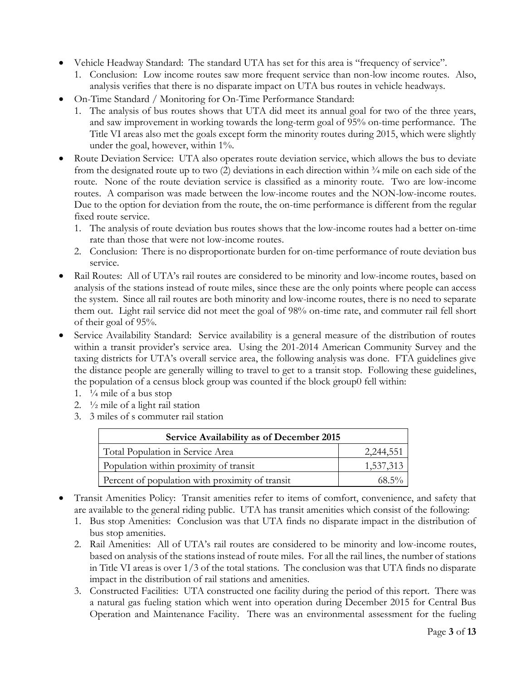- Vehicle Headway Standard: The standard UTA has set for this area is "frequency of service".
	- 1. Conclusion: Low income routes saw more frequent service than non-low income routes. Also, analysis verifies that there is no disparate impact on UTA bus routes in vehicle headways.
- On-Time Standard / Monitoring for On-Time Performance Standard:
	- 1. The analysis of bus routes shows that UTA did meet its annual goal for two of the three years, and saw improvement in working towards the long-term goal of 95% on-time performance. The Title VI areas also met the goals except form the minority routes during 2015, which were slightly under the goal, however, within 1%.
- Route Deviation Service: UTA also operates route deviation service, which allows the bus to deviate from the designated route up to two (2) deviations in each direction within  $\frac{3}{4}$  mile on each side of the route. None of the route deviation service is classified as a minority route. Two are low-income routes. A comparison was made between the low-income routes and the NON-low-income routes. Due to the option for deviation from the route, the on-time performance is different from the regular fixed route service.
	- 1. The analysis of route deviation bus routes shows that the low-income routes had a better on-time rate than those that were not low-income routes.
	- 2. Conclusion: There is no disproportionate burden for on-time performance of route deviation bus service.
- Rail Routes: All of UTA's rail routes are considered to be minority and low-income routes, based on analysis of the stations instead of route miles, since these are the only points where people can access the system. Since all rail routes are both minority and low-income routes, there is no need to separate them out. Light rail service did not meet the goal of 98% on-time rate, and commuter rail fell short of their goal of 95%.
- Service Availability Standard: Service availability is a general measure of the distribution of routes within a transit provider's service area. Using the 201-2014 American Community Survey and the taxing districts for UTA's overall service area, the following analysis was done. FTA guidelines give the distance people are generally willing to travel to get to a transit stop. Following these guidelines, the population of a census block group was counted if the block group0 fell within:
	- 1.  $\frac{1}{4}$  mile of a bus stop
	- 2. ½ mile of a light rail station
	- 3. 3 miles of s commuter rail station

| Service Availability as of December 2015        |           |  |
|-------------------------------------------------|-----------|--|
| Total Population in Service Area                | 2,244,551 |  |
| Population within proximity of transit          | 1,537,313 |  |
| Percent of population with proximity of transit | 68.5%     |  |

- Transit Amenities Policy: Transit amenities refer to items of comfort, convenience, and safety that are available to the general riding public. UTA has transit amenities which consist of the following:
	- 1. Bus stop Amenities: Conclusion was that UTA finds no disparate impact in the distribution of bus stop amenities.
	- 2. Rail Amenities: All of UTA's rail routes are considered to be minority and low-income routes, based on analysis of the stations instead of route miles. For all the rail lines, the number of stations in Title VI areas is over 1/3 of the total stations. The conclusion was that UTA finds no disparate impact in the distribution of rail stations and amenities.
	- 3. Constructed Facilities: UTA constructed one facility during the period of this report. There was a natural gas fueling station which went into operation during December 2015 for Central Bus Operation and Maintenance Facility. There was an environmental assessment for the fueling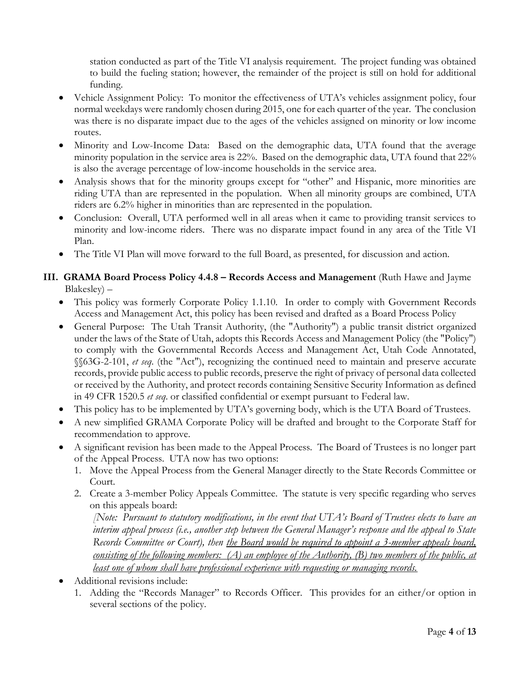station conducted as part of the Title VI analysis requirement. The project funding was obtained to build the fueling station; however, the remainder of the project is still on hold for additional funding.

- Vehicle Assignment Policy: To monitor the effectiveness of UTA's vehicles assignment policy, four normal weekdays were randomly chosen during 2015, one for each quarter of the year. The conclusion was there is no disparate impact due to the ages of the vehicles assigned on minority or low income routes.
- Minority and Low-Income Data: Based on the demographic data, UTA found that the average minority population in the service area is 22%. Based on the demographic data, UTA found that 22% is also the average percentage of low-income households in the service area.
- Analysis shows that for the minority groups except for "other" and Hispanic, more minorities are riding UTA than are represented in the population. When all minority groups are combined, UTA riders are 6.2% higher in minorities than are represented in the population.
- Conclusion: Overall, UTA performed well in all areas when it came to providing transit services to minority and low-income riders. There was no disparate impact found in any area of the Title VI Plan.
- The Title VI Plan will move forward to the full Board, as presented, for discussion and action.

# **III. GRAMA Board Process Policy 4.4.8 – Records Access and Management** (Ruth Hawe and Jayme Blakesley) –

- This policy was formerly Corporate Policy 1.1.10. In order to comply with Government Records Access and Management Act, this policy has been revised and drafted as a Board Process Policy
- General Purpose: The Utah Transit Authority, (the "Authority") a public transit district organized under the laws of the State of Utah, adopts this Records Access and Management Policy (the "Policy") to comply with the Governmental Records Access and Management Act, Utah Code Annotated, §§63G-2-101, *et seq*. (the "Act"), recognizing the continued need to maintain and preserve accurate records, provide public access to public records, preserve the right of privacy of personal data collected or received by the Authority, and protect records containing Sensitive Security Information as defined in 49 CFR 1520.5 *et seq*. or classified confidential or exempt pursuant to Federal law.
- This policy has to be implemented by UTA's governing body, which is the UTA Board of Trustees.
- A new simplified GRAMA Corporate Policy will be drafted and brought to the Corporate Staff for recommendation to approve.
- A significant revision has been made to the Appeal Process. The Board of Trustees is no longer part of the Appeal Process. UTA now has two options:
	- 1. Move the Appeal Process from the General Manager directly to the State Records Committee or Court.
	- 2. Create a 3-member Policy Appeals Committee. The statute is very specific regarding who serves on this appeals board:

*[Note: Pursuant to statutory modifications, in the event that UTA's Board of Trustees elects to have an interim appeal process (i.e., another step between the General Manager's response and the appeal to State Records Committee or Court), then the Board would be required to appoint a 3-member appeals board, consisting of the following members: (A) an employee of the Authority, (B) two members of the public, at least one of whom shall have professional experience with requesting or managing records.* 

- Additional revisions include:
	- 1. Adding the "Records Manager" to Records Officer. This provides for an either/or option in several sections of the policy.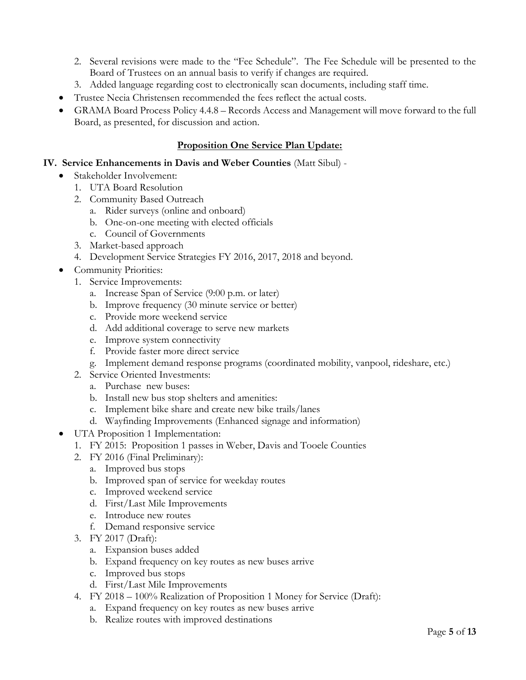- 2. Several revisions were made to the "Fee Schedule". The Fee Schedule will be presented to the Board of Trustees on an annual basis to verify if changes are required.
- 3. Added language regarding cost to electronically scan documents, including staff time.
- Trustee Necia Christensen recommended the fees reflect the actual costs.
- GRAMA Board Process Policy 4.4.8 Records Access and Management will move forward to the full Board, as presented, for discussion and action.

# **Proposition One Service Plan Update:**

#### **IV. Service Enhancements in Davis and Weber Counties** (Matt Sibul) -

- Stakeholder Involvement:
	- 1. UTA Board Resolution
	- 2. Community Based Outreach
		- a. Rider surveys (online and onboard)
		- b. One-on-one meeting with elected officials
		- c. Council of Governments
	- 3. Market-based approach
	- 4. Development Service Strategies FY 2016, 2017, 2018 and beyond.
- Community Priorities:
	- 1. Service Improvements:
		- a. Increase Span of Service (9:00 p.m. or later)
		- b. Improve frequency (30 minute service or better)
		- c. Provide more weekend service
		- d. Add additional coverage to serve new markets
		- e. Improve system connectivity
		- f. Provide faster more direct service
		- g. Implement demand response programs (coordinated mobility, vanpool, rideshare, etc.)
	- 2. Service Oriented Investments:
		- a. Purchase new buses:
		- b. Install new bus stop shelters and amenities:
		- c. Implement bike share and create new bike trails/lanes
		- d. Wayfinding Improvements (Enhanced signage and information)
- UTA Proposition 1 Implementation:
	- 1. FY 2015: Proposition 1 passes in Weber, Davis and Tooele Counties
	- 2. FY 2016 (Final Preliminary):
		- a. Improved bus stops
		- b. Improved span of service for weekday routes
		- c. Improved weekend service
		- d. First/Last Mile Improvements
		- e. Introduce new routes
		- f. Demand responsive service
	- 3. FY 2017 (Draft):
		- a. Expansion buses added
		- b. Expand frequency on key routes as new buses arrive
		- c. Improved bus stops
		- d. First/Last Mile Improvements
	- 4. FY 2018 100% Realization of Proposition 1 Money for Service (Draft):
		- a. Expand frequency on key routes as new buses arrive
		- b. Realize routes with improved destinations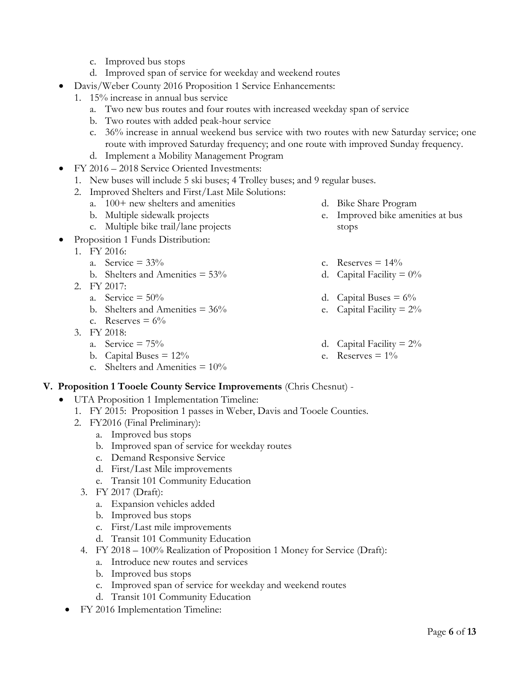- c. Improved bus stops
- d. Improved span of service for weekday and weekend routes
- Davis/Weber County 2016 Proposition 1 Service Enhancements:
	- 1. 15% increase in annual bus service
		- a. Two new bus routes and four routes with increased weekday span of service
		- b. Two routes with added peak-hour service
		- c. 36% increase in annual weekend bus service with two routes with new Saturday service; one route with improved Saturday frequency; and one route with improved Sunday frequency.
		- d. Implement a Mobility Management Program
- FY 2016 2018 Service Oriented Investments:
	- 1. New buses will include 5 ski buses; 4 Trolley buses; and 9 regular buses.
	- 2. Improved Shelters and First/Last Mile Solutions:
		- a. 100+ new shelters and amenities
		- b. Multiple sidewalk projects
		- c. Multiple bike trail/lane projects
	- Proposition 1 Funds Distribution:
- 1. FY 2016:
	- a. Service  $= 33\%$
	- b. Shelters and Amenities  $= 53\%$
	- 2. FY 2017:
		- a. Service  $= 50\%$
		- b. Shelters and Amenities  $= 36\%$
		- c. Reserves  $= 6\%$
	- 3. FY 2018:
		- a. Service  $= 75\%$
		- b. Capital Buses  $= 12\%$
		- c. Shelters and Amenities  $= 10\%$
- d. Bike Share Program
- e. Improved bike amenities at bus stops
- c. Reserves  $= 14\%$
- d. Capital Facility  $= 0\%$
- d. Capital Buses =  $6\%$
- e. Capital Facility  $= 2\%$
- d. Capital Facility  $= 2\%$
- e. Reserves  $= 1\%$

#### **V. Proposition 1 Tooele County Service Improvements** (Chris Chesnut) -

- UTA Proposition 1 Implementation Timeline:
	- 1. FY 2015: Proposition 1 passes in Weber, Davis and Tooele Counties.
	- 2. FY2016 (Final Preliminary):
		- a. Improved bus stops
		- b. Improved span of service for weekday routes
		- c. Demand Responsive Service
		- d. First/Last Mile improvements
		- e. Transit 101 Community Education
		- 3. FY 2017 (Draft):
			- a. Expansion vehicles added
			- b. Improved bus stops
			- c. First/Last mile improvements
			- d. Transit 101 Community Education
		- 4. FY 2018 100% Realization of Proposition 1 Money for Service (Draft):
			- a. Introduce new routes and services
			- b. Improved bus stops
			- c. Improved span of service for weekday and weekend routes
			- d. Transit 101 Community Education
	- FY 2016 Implementation Timeline: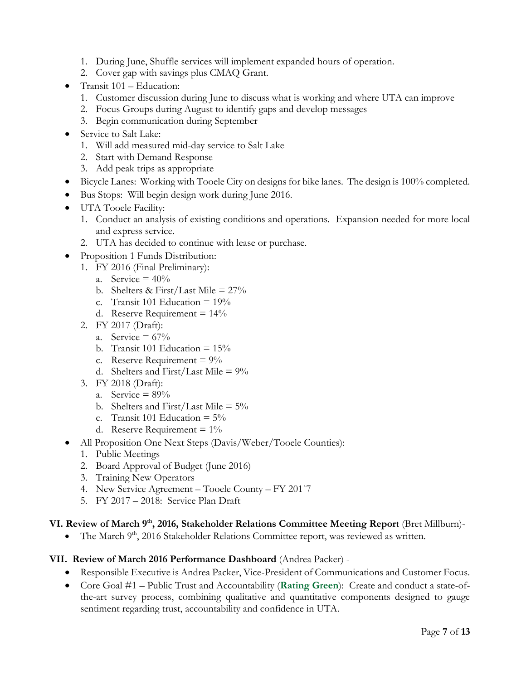- 1. During June, Shuffle services will implement expanded hours of operation.
- 2. Cover gap with savings plus CMAQ Grant.
- Transit 101 Education:
	- 1. Customer discussion during June to discuss what is working and where UTA can improve
	- 2. Focus Groups during August to identify gaps and develop messages
	- 3. Begin communication during September
- Service to Salt Lake:
	- 1. Will add measured mid-day service to Salt Lake
	- 2. Start with Demand Response
	- 3. Add peak trips as appropriate
- Bicycle Lanes: Working with Tooele City on designs for bike lanes. The design is 100% completed.
- Bus Stops: Will begin design work during June 2016.
- UTA Tooele Facility:
	- 1. Conduct an analysis of existing conditions and operations. Expansion needed for more local and express service.
	- 2. UTA has decided to continue with lease or purchase.
- Proposition 1 Funds Distribution:
	- 1. FY 2016 (Final Preliminary):
		- a. Service  $= 40\%$
		- b. Shelters & First/Last Mile =  $27\%$
		- c. Transit 101 Education =  $19\%$
		- d. Reserve Requirement  $= 14\%$
	- 2. FY 2017 (Draft):
		- a. Service  $= 67\%$
		- b. Transit 101 Education  $= 15\%$
		- c. Reserve Requirement  $= 9\%$
		- d. Shelters and First/Last Mile =  $9\%$
	- 3. FY 2018 (Draft):
		- a. Service  $= 89\%$
		- b. Shelters and First/Last Mile =  $5\%$
		- c. Transit 101 Education  $= 5\%$
		- d. Reserve Requirement  $= 1\%$
- All Proposition One Next Steps (Davis/Weber/Tooele Counties):
	- 1. Public Meetings
	- 2. Board Approval of Budget (June 2016)
	- 3. Training New Operators
	- 4. New Service Agreement Tooele County FY 201`7
	- 5. FY 2017 2018: Service Plan Draft

## **VI. Review of March 9th, 2016, Stakeholder Relations Committee Meeting Report** (Bret Millburn)-

• The March  $9<sup>th</sup>$ , 2016 Stakeholder Relations Committee report, was reviewed as written.

#### **VII. Review of March 2016 Performance Dashboard** (Andrea Packer) -

- Responsible Executive is Andrea Packer, Vice-President of Communications and Customer Focus.
- Core Goal #1 Public Trust and Accountability (**Rating Green**): Create and conduct a state-ofthe-art survey process, combining qualitative and quantitative components designed to gauge sentiment regarding trust, accountability and confidence in UTA.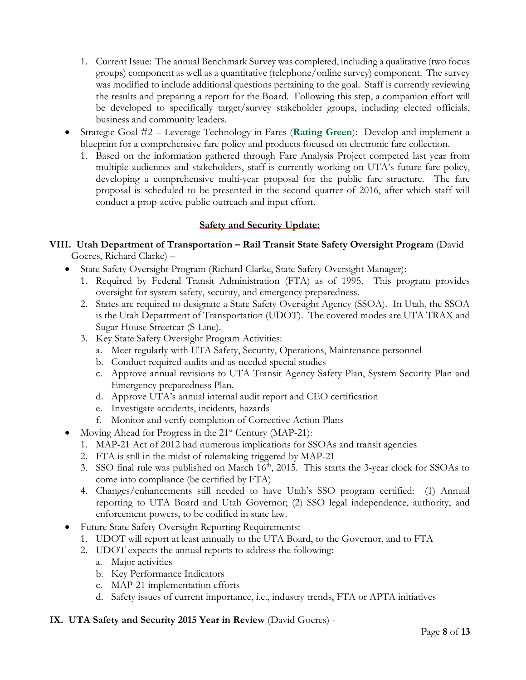- 1. Current Issue: The annual Benchmark Survey was completed, including a qualitative (two focus groups) component as well as a quantitative (telephone/online survey) component. The survey was modified to include additional questions pertaining to the goal. Staff is currently reviewing the results and preparing a report for the Board. Following this step, a companion effort will be developed to specifically target/survey stakeholder groups, including elected officials, business and community leaders.
- Strategic Goal #2 Leverage Technology in Fares (**Rating Green**): Develop and implement a blueprint for a comprehensive fare policy and products focused on electronic fare collection.
	- 1. Based on the information gathered through Fare Analysis Project competed last year from multiple audiences and stakeholders, staff is currently working on UTA's future fare policy, developing a comprehensive multi-year proposal for the public fare structure. The fare proposal is scheduled to be presented in the second quarter of 2016, after which staff will conduct a prop-active public outreach and input effort.

# **Safety and Security Update:**

#### **VIII. Utah Department of Transportation – Rail Transit State Safety Oversight Program** (David Goeres, Richard Clarke) –

- State Safety Oversight Program (Richard Clarke, State Safety Oversight Manager):
	- 1. Required by Federal Transit Administration (FTA) as of 1995. This program provides oversight for system safety, security, and emergency preparedness.
	- 2. States are required to designate a State Safety Oversight Agency (SSOA). In Utah, the SSOA is the Utah Department of Transportation (UDOT). The covered modes are UTA TRAX and Sugar House Streetcar (S-Line).
	- 3. Key State Safety Oversight Program Activities:
		- a. Meet regularly with UTA Safety, Security, Operations, Maintenance personnel
		- b. Conduct required audits and as-needed special studies
		- c. Approve annual revisions to UTA Transit Agency Safety Plan, System Security Plan and Emergency preparedness Plan.
		- d. Approve UTA's annual internal audit report and CEO certification
		- e. Investigate accidents, incidents, hazards
		- f. Monitor and verify completion of Corrective Action Plans
- Moving Ahead for Progress in the  $21^{st}$  Century (MAP-21):
	- 1. MAP-21 Act of 2012 had numerous implications for SSOAs and transit agencies
	- 2. FTA is still in the midst of rulemaking triggered by MAP-21
	- 3. SSO final rule was published on March 16<sup>th</sup>, 2015. This starts the 3-year clock for SSOAs to come into compliance (be certified by FTA)
	- 4. Changes/enhancements still needed to have Utah's SSO program certified: (1) Annual reporting to UTA Board and Utah Governor; (2) SSO legal independence, authority, and enforcement powers, to be codified in state law.
- Future State Safety Oversight Reporting Requirements:
	- 1. UDOT will report at least annually to the UTA Board, to the Governor, and to FTA
	- 2. UDOT expects the annual reports to address the following:
		- a. Major activities
		- b. Key Performance Indicators
		- c. MAP-21 implementation efforts
		- d. Safety issues of current importance, i.e., industry trends, FTA or APTA initiatives

#### **IX. UTA Safety and Security 2015 Year in Review** (David Goeres) -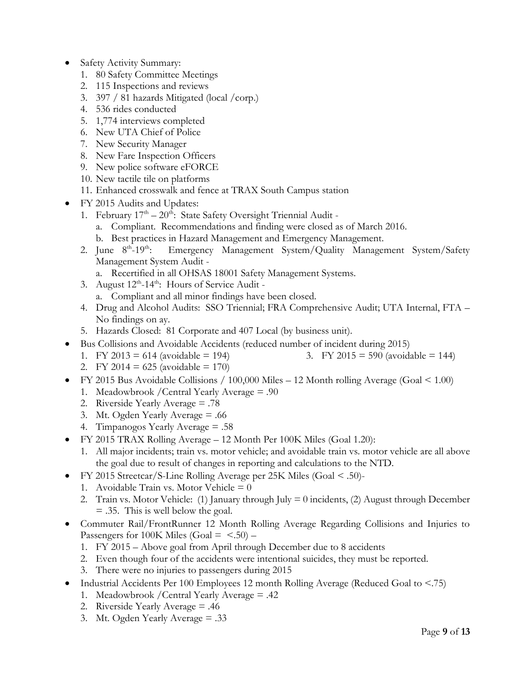- Safety Activity Summary:
	- 1. 80 Safety Committee Meetings
	- 2. 115 Inspections and reviews
	- 3. 397 / 81 hazards Mitigated (local /corp.)
	- 4. 536 rides conducted
	- 5. 1,774 interviews completed
	- 6. New UTA Chief of Police
	- 7. New Security Manager
	- 8. New Fare Inspection Officers
	- 9. New police software eFORCE
	- 10. New tactile tile on platforms
	- 11. Enhanced crosswalk and fence at TRAX South Campus station
- FY 2015 Audits and Updates:
	- 1. February  $17<sup>th</sup> 20<sup>th</sup>$ : State Safety Oversight Triennial Audit
		- a. Compliant. Recommendations and finding were closed as of March 2016.
		- b. Best practices in Hazard Management and Emergency Management.
	- 2. June  $8^{th}$ -19<sup>th</sup>: Emergency Management System/Quality Management System/Safety Management System Audit
		- a. Recertified in all OHSAS 18001 Safety Management Systems.
	- 3. August  $12^{th}$ -14<sup>th</sup>: Hours of Service Audit a. Compliant and all minor findings have been closed.
	- 4. Drug and Alcohol Audits: SSO Triennial; FRA Comprehensive Audit; UTA Internal, FTA
		- No findings on ay.
	- 5. Hazards Closed: 81 Corporate and 407 Local (by business unit).
- Bus Collisions and Avoidable Accidents (reduced number of incident during 2015)
	- 1. FY 2013 = 614 (avoidable = 194)
- 3. FY 2015 = 590 (avoidable = 144)
- 2. FY 2014 = 625 (avoidable = 170)
- FY 2015 Bus Avoidable Collisions / 100,000 Miles 12 Month rolling Average (Goal < 1.00) 1. Meadowbrook /Central Yearly Average = .90
	- 2. Riverside Yearly Average = .78
	- 3. Mt. Ogden Yearly Average = .66
	- 4. Timpanogos Yearly Average = .58
- FY 2015 TRAX Rolling Average 12 Month Per 100K Miles (Goal 1.20):
	- 1. All major incidents; train vs. motor vehicle; and avoidable train vs. motor vehicle are all above the goal due to result of changes in reporting and calculations to the NTD.
- FY 2015 Streetcar/S-Line Rolling Average per 25K Miles (Goal < .50)-
	- 1. Avoidable Train vs. Motor Vehicle  $= 0$
	- 2. Train vs. Motor Vehicle: (1) January through July  $= 0$  incidents, (2) August through December = .35. This is well below the goal.
- Commuter Rail/FrontRunner 12 Month Rolling Average Regarding Collisions and Injuries to Passengers for 100K Miles  $(Goa = <.50)$  –
	- 1. FY 2015 Above goal from April through December due to 8 accidents
	- 2. Even though four of the accidents were intentional suicides, they must be reported.
	- 3. There were no injuries to passengers during 2015
- Industrial Accidents Per 100 Employees 12 month Rolling Average (Reduced Goal to  $\leq$ .75)
	- 1. Meadowbrook /Central Yearly Average = .42
	- 2. Riverside Yearly Average = .46
	- 3. Mt. Ogden Yearly Average = .33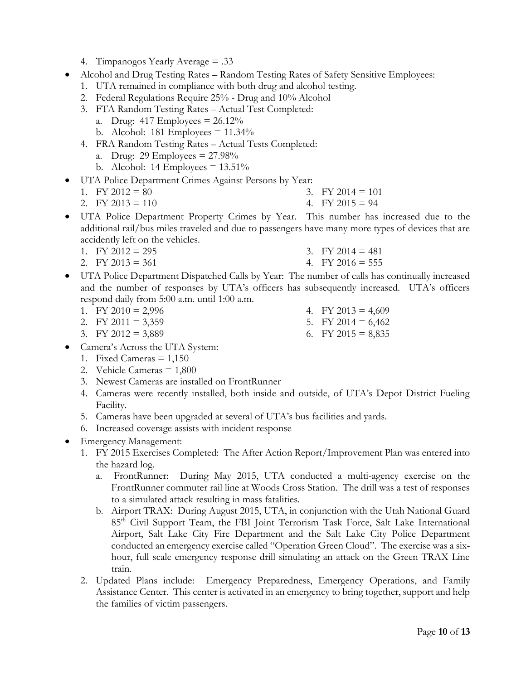- 4. Timpanogos Yearly Average = .33
- Alcohol and Drug Testing Rates Random Testing Rates of Safety Sensitive Employees:
	- 1. UTA remained in compliance with both drug and alcohol testing.
	- 2. Federal Regulations Require 25% Drug and 10% Alcohol
	- 3. FTA Random Testing Rates Actual Test Completed:
		- a. Drug:  $417$  Employees =  $26.12\%$
		- b. Alcohol: 181 Employees  $= 11.34\%$
	- 4. FRA Random Testing Rates Actual Tests Completed:
		- a. Drug: 29 Employees = 27.98%
		- b. Alcohol: 14 Employees  $= 13.51\%$
- UTA Police Department Crimes Against Persons by Year:
	- 1. FY  $2012 = 80$ 3. FY 2014  $= 101$ 
		- 2. FY 2013 = 110 4. FY 2015 =  $94$
- UTA Police Department Property Crimes by Year. This number has increased due to the additional rail/bus miles traveled and due to passengers have many more types of devices that are accidently left on the vehicles.
	- 1. FY  $2012 = 295$
- 3. FY 2014  $=$  481 4. FY 2016 =  $555$
- 2. FY 2013 = 361 UTA Police Department Dispatched Calls by Year: The number of calls has continually increased and the number of responses by UTA's officers has subsequently increased. UTA's officers

respond daily from 5:00 a.m. until 1:00 a.m.

- 1. FY 2010 =  $2,996$
- 2. FY 2011 =  $3,359$
- 3. FY 2012 =  $3,889$
- Camera's Across the UTA System:
	- 1. Fixed Cameras  $= 1,150$
	- 2. Vehicle Cameras = 1,800
	- 3. Newest Cameras are installed on FrontRunner
	- 4. Cameras were recently installed, both inside and outside, of UTA's Depot District Fueling Facility.
	- 5. Cameras have been upgraded at several of UTA's bus facilities and yards.
	- 6. Increased coverage assists with incident response
- Emergency Management:
	- 1. FY 2015 Exercises Completed: The After Action Report/Improvement Plan was entered into the hazard log.
		- a. FrontRunner: During May 2015, UTA conducted a multi-agency exercise on the FrontRunner commuter rail line at Woods Cross Station. The drill was a test of responses to a simulated attack resulting in mass fatalities.
		- b. Airport TRAX: During August 2015, UTA, in conjunction with the Utah National Guard 85th Civil Support Team, the FBI Joint Terrorism Task Force, Salt Lake International Airport, Salt Lake City Fire Department and the Salt Lake City Police Department conducted an emergency exercise called "Operation Green Cloud". The exercise was a sixhour, full scale emergency response drill simulating an attack on the Green TRAX Line train.
	- 2. Updated Plans include: Emergency Preparedness, Emergency Operations, and Family Assistance Center. This center is activated in an emergency to bring together, support and help the families of victim passengers.
- 4. FY 2013 =  $4,609$
- 5. FY 2014 =  $6,462$
- 6. FY 2015 =  $8,835$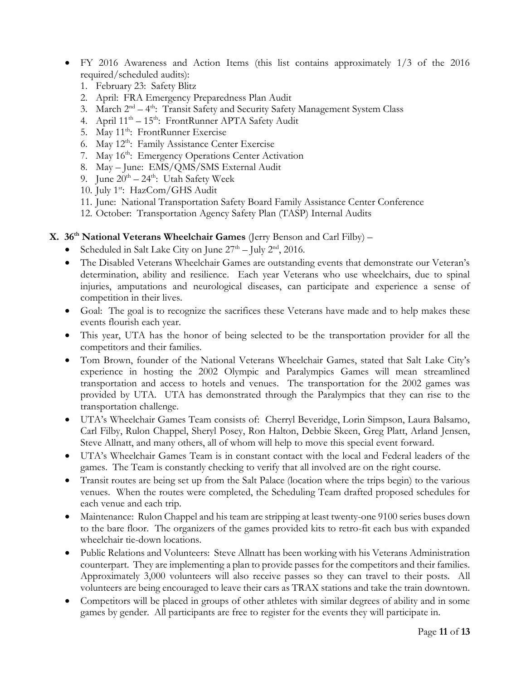- FY 2016 Awareness and Action Items (this list contains approximately 1/3 of the 2016 required/scheduled audits):
	- 1. February 23: Safety Blitz
	- 2. April: FRA Emergency Preparedness Plan Audit
	- 3. March  $2^{nd} 4^{th}$ : Transit Safety and Security Safety Management System Class
	- 4. April  $11<sup>th</sup> 15<sup>th</sup>$ : FrontRunner APTA Safety Audit
	- 5. May 11<sup>th</sup>: FrontRunner Exercise
	- 6. May  $12^{th}$ : Family Assistance Center Exercise
	- 7. May 16<sup>th</sup>: Emergency Operations Center Activation
	- 8. May June: EMS/QMS/SMS External Audit
	- 9. June  $20^{th} 24^{th}$ : Utah Safety Week
	- 10. July 1<sup>st</sup>: HazCom/GHS Audit
	- 11. June: National Transportation Safety Board Family Assistance Center Conference
	- 12. October: Transportation Agency Safety Plan (TASP) Internal Audits

# **X. 36th National Veterans Wheelchair Games** (Jerry Benson and Carl Filby) –

- Scheduled in Salt Lake City on June  $27<sup>th</sup> -$  July  $2<sup>nd</sup>$ , 2016.
- The Disabled Veterans Wheelchair Games are outstanding events that demonstrate our Veteran's determination, ability and resilience. Each year Veterans who use wheelchairs, due to spinal injuries, amputations and neurological diseases, can participate and experience a sense of competition in their lives.
- Goal: The goal is to recognize the sacrifices these Veterans have made and to help makes these events flourish each year.
- This year, UTA has the honor of being selected to be the transportation provider for all the competitors and their families.
- Tom Brown, founder of the National Veterans Wheelchair Games, stated that Salt Lake City's experience in hosting the 2002 Olympic and Paralympics Games will mean streamlined transportation and access to hotels and venues. The transportation for the 2002 games was provided by UTA. UTA has demonstrated through the Paralympics that they can rise to the transportation challenge.
- UTA's Wheelchair Games Team consists of: Cherryl Beveridge, Lorin Simpson, Laura Balsamo, Carl Filby, Rulon Chappel, Sheryl Posey, Ron Halton, Debbie Skeen, Greg Platt, Arland Jensen, Steve Allnatt, and many others, all of whom will help to move this special event forward.
- UTA's Wheelchair Games Team is in constant contact with the local and Federal leaders of the games. The Team is constantly checking to verify that all involved are on the right course.
- Transit routes are being set up from the Salt Palace (location where the trips begin) to the various venues. When the routes were completed, the Scheduling Team drafted proposed schedules for each venue and each trip.
- Maintenance: Rulon Chappel and his team are stripping at least twenty-one 9100 series buses down to the bare floor. The organizers of the games provided kits to retro-fit each bus with expanded wheelchair tie-down locations.
- Public Relations and Volunteers: Steve Allnatt has been working with his Veterans Administration counterpart. They are implementing a plan to provide passes for the competitors and their families. Approximately 3,000 volunteers will also receive passes so they can travel to their posts. All volunteers are being encouraged to leave their cars as TRAX stations and take the train downtown.
- Competitors will be placed in groups of other athletes with similar degrees of ability and in some games by gender. All participants are free to register for the events they will participate in.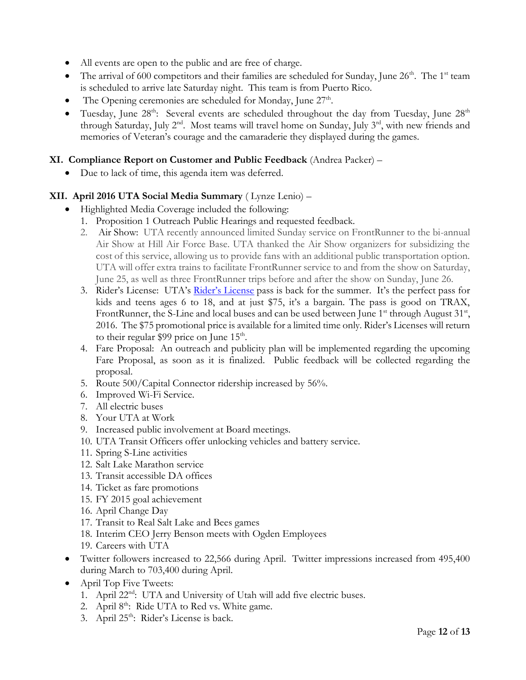- All events are open to the public and are free of charge.
- The arrival of 600 competitors and their families are scheduled for Sunday, June  $26<sup>th</sup>$ . The 1<sup>st</sup> team is scheduled to arrive late Saturday night. This team is from Puerto Rico.
- The Opening ceremonies are scheduled for Monday, June  $27<sup>th</sup>$ .
- Tuesday, June  $28<sup>th</sup>$ : Several events are scheduled throughout the day from Tuesday, June  $28<sup>th</sup>$ through Saturday, July  $2^{nd}$ . Most teams will travel home on Sunday, July  $3^{rd}$ , with new friends and memories of Veteran's courage and the camaraderie they displayed during the games.

### **XI. Compliance Report on Customer and Public Feedback** (Andrea Packer) –

Due to lack of time, this agenda item was deferred.

#### **XII. April 2016 UTA Social Media Summary** ( Lynze Lenio) –

- Highlighted Media Coverage included the following:
	- 1. Proposition 1 Outreach Public Hearings and requested feedback.
	- 2. Air Show: UTA recently announced limited Sunday service on FrontRunner to the bi-annual Air Show at Hill Air Force Base. UTA thanked the Air Show organizers for subsidizing the cost of this service, allowing us to provide fans with an additional public transportation option. UTA will offer extra trains to facilitate FrontRunner service to and from the show on Saturday, June 25, as well as three FrontRunner trips before and after the show on Sunday, June 26.
	- 3. [Rider's License](https://www.rideuta.com/Fares-And-Passes/UTA-Riders-License): UTA's Rider's License pass is back for the summer. It's the perfect pass for kids and teens ages 6 to 18, and at just \$75, it's a bargain. The pass is good on TRAX, FrontRunner, the S-Line and local buses and can be used between June 1<sup>st</sup> through August 31<sup>st</sup>, 2016. The \$75 promotional price is available for a limited time only. Rider's Licenses will return to their regular \$99 price on June  $15<sup>th</sup>$ .
	- 4. Fare Proposal: An outreach and publicity plan will be implemented regarding the upcoming Fare Proposal, as soon as it is finalized. Public feedback will be collected regarding the proposal.
	- 5. Route 500/Capital Connector ridership increased by 56%.
	- 6. Improved Wi-Fi Service.
	- 7. All electric buses
	- 8. Your UTA at Work
	- 9. Increased public involvement at Board meetings.
	- 10. UTA Transit Officers offer unlocking vehicles and battery service.
	- 11. Spring S-Line activities
	- 12. Salt Lake Marathon service
	- 13. Transit accessible DA offices
	- 14. Ticket as fare promotions
	- 15. FY 2015 goal achievement
	- 16. April Change Day
	- 17. Transit to Real Salt Lake and Bees games
	- 18. Interim CEO Jerry Benson meets with Ogden Employees
	- 19. Careers with UTA
- Twitter followers increased to 22,566 during April. Twitter impressions increased from 495,400 during March to 703,400 during April.
- April Top Five Tweets:
	- 1. April 22<sup>nd</sup>: UTA and University of Utah will add five electric buses.
	- 2. April 8<sup>th</sup>: Ride UTA to Red vs. White game.
	- 3. April 25<sup>th</sup>: Rider's License is back.